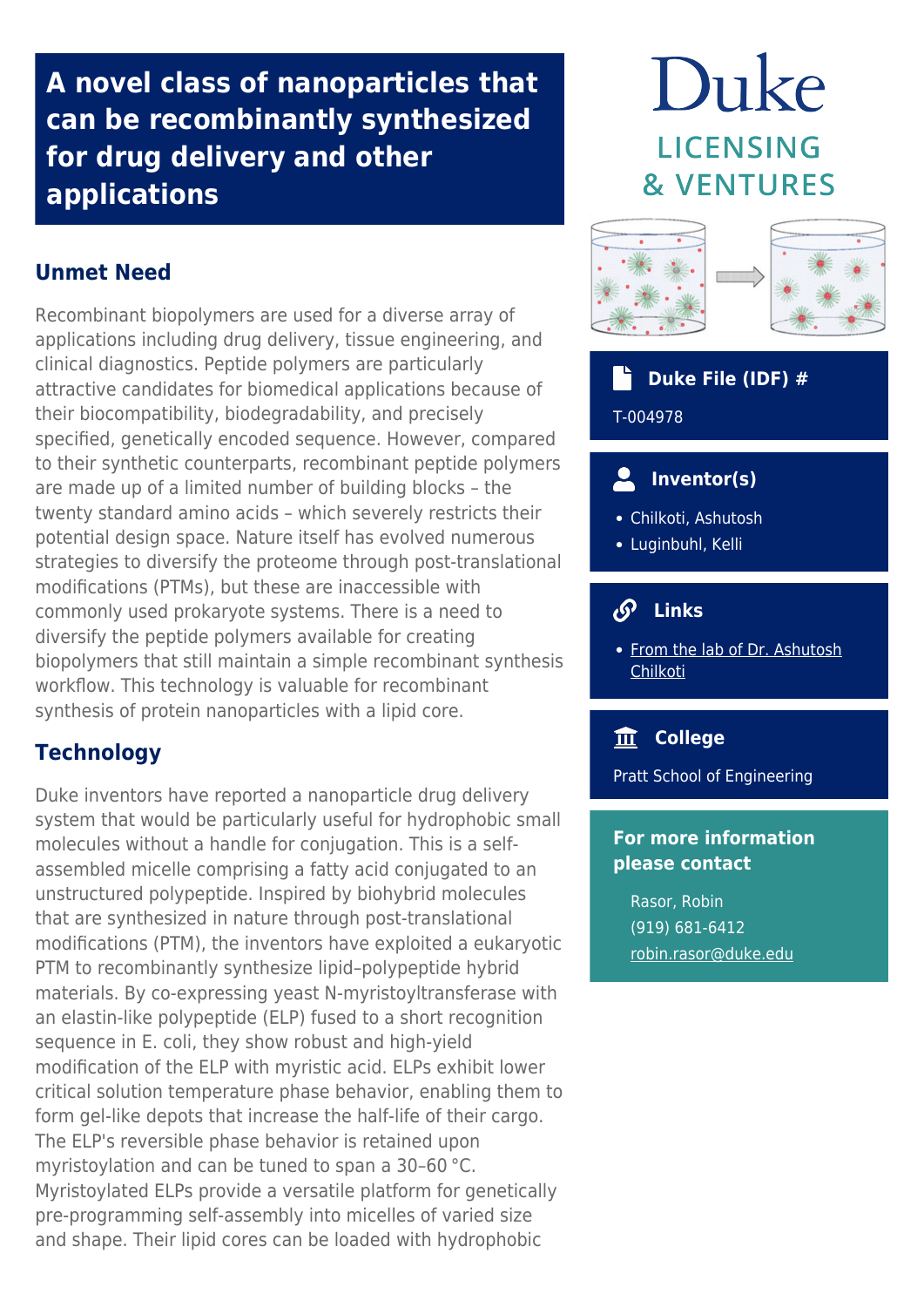**A novel class of nanoparticles that can be recombinantly synthesized for drug delivery and other applications**

# **Unmet Need**

Recombinant biopolymers are used for a diverse array of applications including drug delivery, tissue engineering, and clinical diagnostics. Peptide polymers are particularly attractive candidates for biomedical applications because of their biocompatibility, biodegradability, and precisely specified, genetically encoded sequence. However, compared to their synthetic counterparts, recombinant peptide polymers are made up of a limited number of building blocks – the twenty standard amino acids – which severely restricts their potential design space. Nature itself has evolved numerous strategies to diversify the proteome through post-translational modifications (PTMs), but these are inaccessible with commonly used prokaryote systems. There is a need to diversify the peptide polymers available for creating biopolymers that still maintain a simple recombinant synthesis workflow. This technology is valuable for recombinant synthesis of protein nanoparticles with a lipid core.

#### **Technology**

Duke inventors have reported a nanoparticle drug delivery system that would be particularly useful for hydrophobic small molecules without a handle for conjugation. This is a selfassembled micelle comprising a fatty acid conjugated to an unstructured polypeptide. Inspired by biohybrid molecules that are synthesized in nature through post‐translational modifications (PTM), the inventors have exploited a eukaryotic PTM to recombinantly synthesize lipid–polypeptide hybrid materials. By co-expressing yeast N-myristoyltransferase with an elastin‐like polypeptide (ELP) fused to a short recognition sequence in E. coli, they show robust and high-yield modification of the ELP with myristic acid. ELPs exhibit lower critical solution temperature phase behavior, enabling them to form gel-like depots that increase the half-life of their cargo. The ELP's reversible phase behavior is retained upon myristoylation and can be tuned to span a 30–60 °C. Myristoylated ELPs provide a versatile platform for genetically pre‐programming self‐assembly into micelles of varied size and shape. Their lipid cores can be loaded with hydrophobic

# Duke **LICENSING & VENTURES**



#### **Duke File (IDF) #**

T-004978

### **Inventor(s)**

- Chilkoti, Ashutosh
- Luginbuhl, Kelli

#### $\mathcal{S}$  **Links**

• [From the lab of Dr. Ashutosh](http://chilkotilab.pratt.duke.edu/) **[Chilkoti](http://chilkotilab.pratt.duke.edu/)** 

#### **College**

Pratt School of Engineering

#### **For more information please contact**

Rasor, Robin (919) 681-6412 [robin.rasor@duke.edu](mailto:robin.rasor@duke.edu)